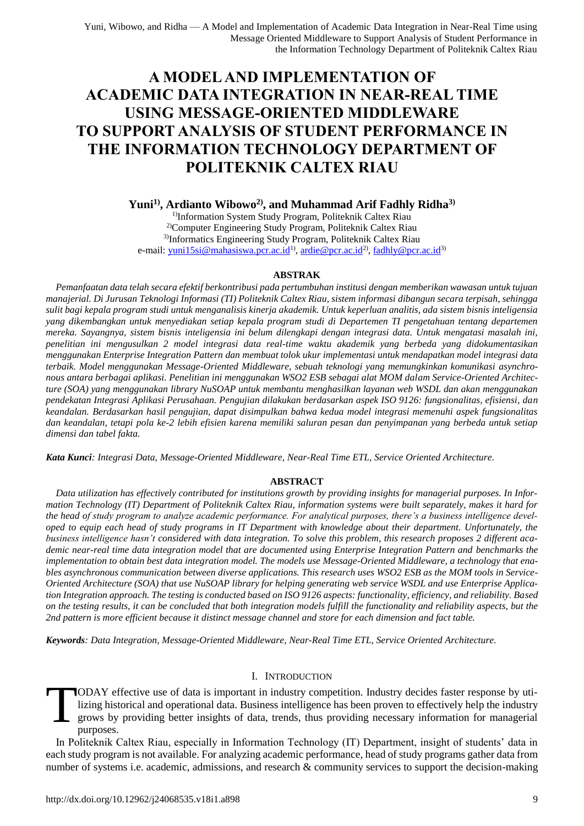# **A MODEL AND IMPLEMENTATION OF ACADEMIC DATA INTEGRATION IN NEAR-REAL TIME USING MESSAGE-ORIENTED MIDDLEWARE TO SUPPORT ANALYSIS OF STUDENT PERFORMANCE IN THE INFORMATION TECHNOLOGY DEPARTMENT OF POLITEKNIK CALTEX RIAU**

**Yuni1) , Ardianto Wibowo2) , and Muhammad Arif Fadhly Ridha3)**

<sup>1)</sup>Information System Study Program, Politeknik Caltex Riau 2)Computer Engineering Study Program, Politeknik Caltex Riau 3)Informatics Engineering Study Program, Politeknik Caltex Riau e-mail: <u>yuni15si@mahasiswa.pcr.ac.id</u><sup>1)</sup>, [ardie@pcr.ac.id](mailto:ardie@pcr.ac.id)<sup>2)</sup>, <u>fadhly@pcr.ac.id</u><sup>3)</sup>

# **ABSTRAK**

*Pemanfaatan data telah secara efektif berkontribusi pada pertumbuhan institusi dengan memberikan wawasan untuk tujuan manajerial. Di Jurusan Teknologi Informasi (TI) Politeknik Caltex Riau, sistem informasi dibangun secara terpisah, sehingga sulit bagi kepala program studi untuk menganalisis kinerja akademik. Untuk keperluan analitis, ada sistem bisnis inteligensia yang dikembangkan untuk menyediakan setiap kepala program studi di Departemen TI pengetahuan tentang departemen mereka. Sayangnya, sistem bisnis inteligensia ini belum dilengkapi dengan integrasi data. Untuk mengatasi masalah ini, penelitian ini mengusulkan 2 model integrasi data real-time waktu akademik yang berbeda yang didokumentasikan menggunakan Enterprise Integration Pattern dan membuat tolok ukur implementasi untuk mendapatkan model integrasi data terbaik. Model menggunakan Message-Oriented Middleware, sebuah teknologi yang memungkinkan komunikasi asynchronous antara berbagai aplikasi. Penelitian ini menggunakan WSO2 ESB sebagai alat MOM dalam Service-Oriented Architecture (SOA) yang menggunakan library NuSOAP untuk membantu menghasilkan layanan web WSDL dan akan menggunakan pendekatan Integrasi Aplikasi Perusahaan. Pengujian dilakukan berdasarkan aspek ISO 9126: fungsionalitas, efisiensi, dan keandalan. Berdasarkan hasil pengujian, dapat disimpulkan bahwa kedua model integrasi memenuhi aspek fungsionalitas dan keandalan, tetapi pola ke-2 lebih efisien karena memiliki saluran pesan dan penyimpanan yang berbeda untuk setiap dimensi dan tabel fakta.*

*Kata Kunci: Integrasi Data, Message-Oriented Middleware, Near-Real Time ETL, Service Oriented Architecture.*

# **ABSTRACT**

*Data utilization has effectively contributed for institutions growth by providing insights for managerial purposes. In Information Technology (IT) Department of Politeknik Caltex Riau, information systems were built separately, makes it hard for the head of study program to analyze academic performance. For analytical purposes, there's a business intelligence developed to equip each head of study programs in IT Department with knowledge about their department. Unfortunately, the business intelligence hasn't considered with data integration. To solve this problem, this research proposes 2 different academic near-real time data integration model that are documented using Enterprise Integration Pattern and benchmarks the implementation to obtain best data integration model. The models use Message-Oriented Middleware, a technology that enables asynchronous communication between diverse applications. This research uses WSO2 ESB as the MOM tools in Service-Oriented Architecture (SOA) that use NuSOAP library for helping generating web service WSDL and use Enterprise Application Integration approach. The testing is conducted based on ISO 9126 aspects: functionality, efficiency, and reliability. Based on the testing results, it can be concluded that both integration models fulfill the functionality and reliability aspects, but the 2nd pattern is more efficient because it distinct message channel and store for each dimension and fact table.*

*Keywords: Data Integration, Message-Oriented Middleware, Near-Real Time ETL, Service Oriented Architecture.*

# I. INTRODUCTION

ODAY effective use of data is important in industry competition. Industry decides faster response by utilizing historical and operational data. Business intelligence has been proven to effectively help the industry grows by providing better insights of data, trends, thus providing necessary information for managerial purposes. T

In Politeknik Caltex Riau, especially in Information Technology (IT) Department, insight of students' data in each study program is not available. For analyzing academic performance, head of study programs gather data from number of systems i.e. academic, admissions, and research & community services to support the decision-making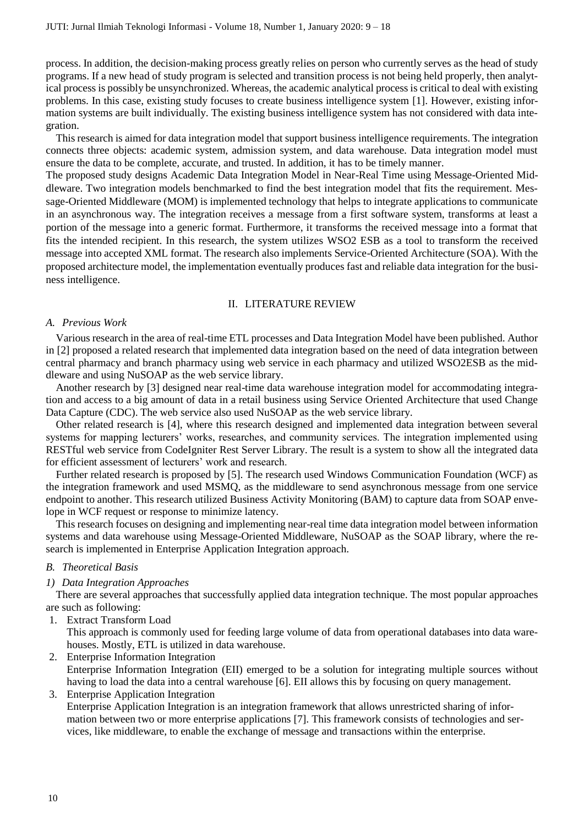process. In addition, the decision-making process greatly relies on person who currently serves as the head of study programs. If a new head of study program is selected and transition process is not being held properly, then analytical process is possibly be unsynchronized. Whereas, the academic analytical process is critical to deal with existing problems. In this case, existing study focuses to create business intelligence system [1]. However, existing information systems are built individually. The existing business intelligence system has not considered with data integration.

This research is aimed for data integration model that support business intelligence requirements. The integration connects three objects: academic system, admission system, and data warehouse. Data integration model must ensure the data to be complete, accurate, and trusted. In addition, it has to be timely manner.

The proposed study designs Academic Data Integration Model in Near-Real Time using Message-Oriented Middleware. Two integration models benchmarked to find the best integration model that fits the requirement. Message-Oriented Middleware (MOM) is implemented technology that helps to integrate applications to communicate in an asynchronous way. The integration receives a message from a first software system, transforms at least a portion of the message into a generic format. Furthermore, it transforms the received message into a format that fits the intended recipient. In this research, the system utilizes WSO2 ESB as a tool to transform the received message into accepted XML format. The research also implements Service-Oriented Architecture (SOA). With the proposed architecture model, the implementation eventually produces fast and reliable data integration for the business intelligence.

# II. LITERATURE REVIEW

## *A. Previous Work*

Various research in the area of real-time ETL processes and Data Integration Model have been published. Author in [2] proposed a related research that implemented data integration based on the need of data integration between central pharmacy and branch pharmacy using web service in each pharmacy and utilized WSO2ESB as the middleware and using NuSOAP as the web service library.

Another research by [3] designed near real-time data warehouse integration model for accommodating integration and access to a big amount of data in a retail business using Service Oriented Architecture that used Change Data Capture (CDC). The web service also used NuSOAP as the web service library.

Other related research is [4], where this research designed and implemented data integration between several systems for mapping lecturers' works, researches, and community services. The integration implemented using RESTful web service from CodeIgniter Rest Server Library. The result is a system to show all the integrated data for efficient assessment of lecturers' work and research.

Further related research is proposed by [5]. The research used Windows Communication Foundation (WCF) as the integration framework and used MSMQ, as the middleware to send asynchronous message from one service endpoint to another. This research utilized Business Activity Monitoring (BAM) to capture data from SOAP envelope in WCF request or response to minimize latency.

This research focuses on designing and implementing near-real time data integration model between information systems and data warehouse using Message-Oriented Middleware, NuSOAP as the SOAP library, where the research is implemented in Enterprise Application Integration approach.

## *B. Theoretical Basis*

# *1) Data Integration Approaches*

There are several approaches that successfully applied data integration technique. The most popular approaches are such as following:

1. Extract Transform Load

This approach is commonly used for feeding large volume of data from operational databases into data warehouses. Mostly, ETL is utilized in data warehouse.

2. Enterprise Information Integration Enterprise Information Integration (EII) emerged to be a solution for integrating multiple sources without having to load the data into a central warehouse [6]. EII allows this by focusing on query management.

3. Enterprise Application Integration Enterprise Application Integration is an integration framework that allows unrestricted sharing of information between two or more enterprise applications [7]. This framework consists of technologies and services, like middleware, to enable the exchange of message and transactions within the enterprise.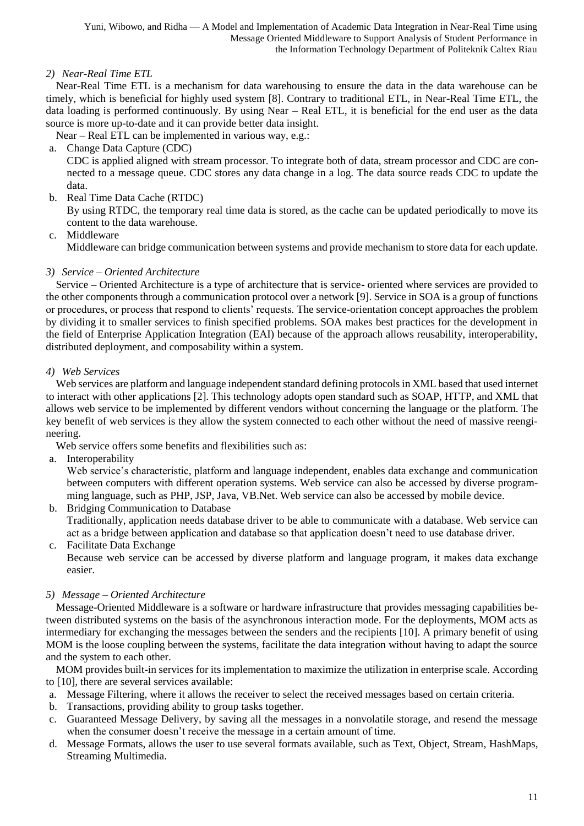Yuni, Wibowo, and Ridha — A Model and Implementation of Academic Data Integration in Near-Real Time using Message Oriented Middleware to Support Analysis of Student Performance in the Information Technology Department of Politeknik Caltex Riau

*2) Near-Real Time ETL*

Near-Real Time ETL is a mechanism for data warehousing to ensure the data in the data warehouse can be timely, which is beneficial for highly used system [8]. Contrary to traditional ETL, in Near-Real Time ETL, the data loading is performed continuously. By using Near – Real ETL, it is beneficial for the end user as the data source is more up-to-date and it can provide better data insight.

Near – Real ETL can be implemented in various way, e.g.:

a. Change Data Capture (CDC)

CDC is applied aligned with stream processor. To integrate both of data, stream processor and CDC are connected to a message queue. CDC stores any data change in a log. The data source reads CDC to update the data.

b. Real Time Data Cache (RTDC)

By using RTDC, the temporary real time data is stored, as the cache can be updated periodically to move its content to the data warehouse.

c. Middleware

Middleware can bridge communication between systems and provide mechanism to store data for each update.

# *3) Service – Oriented Architecture*

Service – Oriented Architecture is a type of architecture that is service- oriented where services are provided to the other components through a communication protocol over a network [9]. Service in SOA is a group of functions or procedures, or process that respond to clients' requests. The service-orientation concept approaches the problem by dividing it to smaller services to finish specified problems. SOA makes best practices for the development in the field of Enterprise Application Integration (EAI) because of the approach allows reusability, interoperability, distributed deployment, and composability within a system.

# *4) Web Services*

Web services are platform and language independent standard defining protocols in XML based that used internet to interact with other applications [2]. This technology adopts open standard such as SOAP, HTTP, and XML that allows web service to be implemented by different vendors without concerning the language or the platform. The key benefit of web services is they allow the system connected to each other without the need of massive reengineering.

Web service offers some benefits and flexibilities such as:

a. Interoperability

Web service's characteristic, platform and language independent, enables data exchange and communication between computers with different operation systems. Web service can also be accessed by diverse programming language, such as PHP, JSP, Java, VB.Net. Web service can also be accessed by mobile device.

b. Bridging Communication to Database Traditionally, application needs database driver to be able to communicate with a database. Web service can act as a bridge between application and database so that application doesn't need to use database driver.

c. Facilitate Data Exchange

Because web service can be accessed by diverse platform and language program, it makes data exchange easier.

# *5) Message – Oriented Architecture*

Message-Oriented Middleware is a software or hardware infrastructure that provides messaging capabilities between distributed systems on the basis of the asynchronous interaction mode. For the deployments, MOM acts as intermediary for exchanging the messages between the senders and the recipients [10]. A primary benefit of using MOM is the loose coupling between the systems, facilitate the data integration without having to adapt the source and the system to each other.

MOM provides built-in services for its implementation to maximize the utilization in enterprise scale. According to [10], there are several services available:

- a. Message Filtering, where it allows the receiver to select the received messages based on certain criteria.
- b. Transactions, providing ability to group tasks together.
- c. Guaranteed Message Delivery, by saving all the messages in a nonvolatile storage, and resend the message when the consumer doesn't receive the message in a certain amount of time.
- d. Message Formats, allows the user to use several formats available, such as Text, Object, Stream, HashMaps, Streaming Multimedia.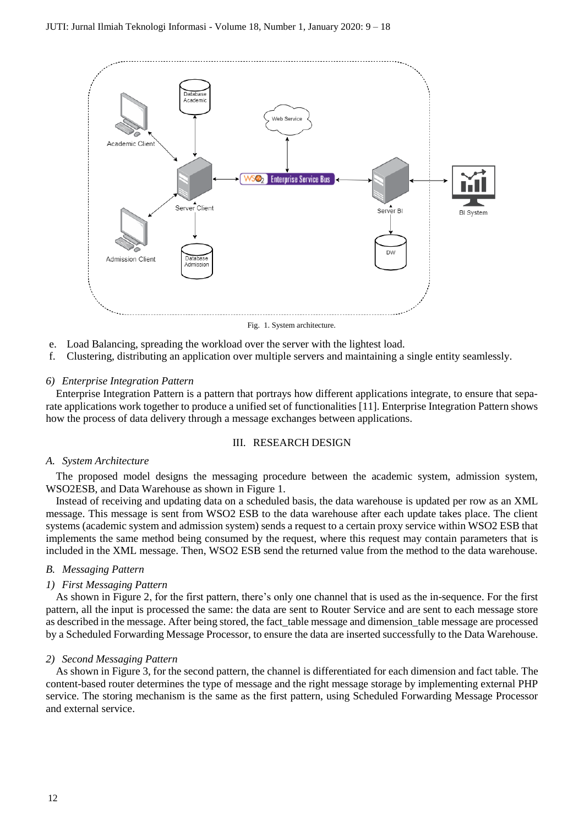

- e. Load Balancing, spreading the workload over the server with the lightest load.
- f. Clustering, distributing an application over multiple servers and maintaining a single entity seamlessly.

# *6) Enterprise Integration Pattern*

Enterprise Integration Pattern is a pattern that portrays how different applications integrate, to ensure that separate applications work together to produce a unified set of functionalities [11]. Enterprise Integration Pattern shows how the process of data delivery through a message exchanges between applications.

#### III. RESEARCH DESIGN

## *A. System Architecture*

The proposed model designs the messaging procedure between the academic system, admission system, WSO2ESB, and Data Warehouse as shown in Figure 1.

Instead of receiving and updating data on a scheduled basis, the data warehouse is updated per row as an XML message. This message is sent from WSO2 ESB to the data warehouse after each update takes place. The client systems (academic system and admission system) sends a request to a certain proxy service within WSO2 ESB that implements the same method being consumed by the request, where this request may contain parameters that is included in the XML message. Then, WSO2 ESB send the returned value from the method to the data warehouse.

## *B. Messaging Pattern*

## *1) First Messaging Pattern*

As shown in Figure 2, for the first pattern, there's only one channel that is used as the in-sequence. For the first pattern, all the input is processed the same: the data are sent to Router Service and are sent to each message store as described in the message. After being stored, the fact\_table message and dimension\_table message are processed by a Scheduled Forwarding Message Processor, to ensure the data are inserted successfully to the Data Warehouse.

## *2) Second Messaging Pattern*

As shown in Figure 3, for the second pattern, the channel is differentiated for each dimension and fact table. The content-based router determines the type of message and the right message storage by implementing external PHP service. The storing mechanism is the same as the first pattern, using Scheduled Forwarding Message Processor and external service.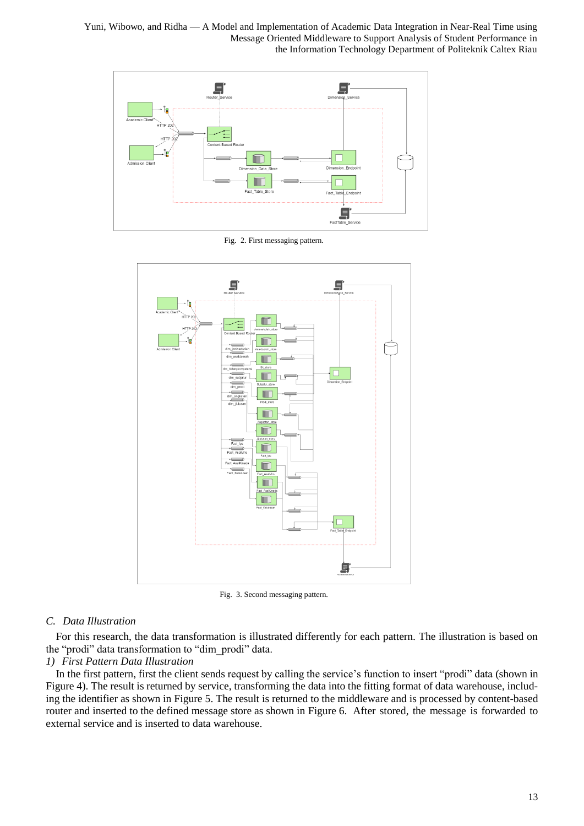Yuni, Wibowo, and Ridha — A Model and Implementation of Academic Data Integration in Near-Real Time using Message Oriented Middleware to Support Analysis of Student Performance in the Information Technology Department of Politeknik Caltex Riau



Fig. 2. First messaging pattern.



Fig. 3. Second messaging pattern.

# *C. Data Illustration*

For this research, the data transformation is illustrated differently for each pattern. The illustration is based on the "prodi" data transformation to "dim\_prodi" data.

# *1) First Pattern Data Illustration*

In the first pattern, first the client sends request by calling the service's function to insert "prodi" data (shown in Figure 4). The result is returned by service, transforming the data into the fitting format of data warehouse, including the identifier as shown in Figure 5. The result is returned to the middleware and is processed by content-based router and inserted to the defined message store as shown in Figure 6. After stored, the message is forwarded to external service and is inserted to data warehouse.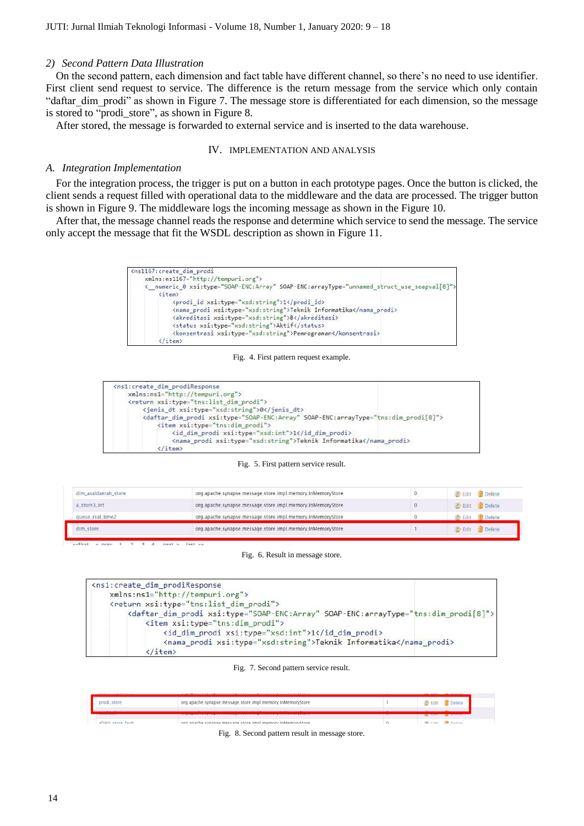## *2) Second Pattern Data Illustration*

On the second pattern, each dimension and fact table have different channel, so there's no need to use identifier. First client send request to service. The difference is the return message from the service which only contain "daftar dim prodi" as shown in Figure 7. The message store is differentiated for each dimension, so the message is stored to "prodi\_store", as shown in Figure 8.

After stored, the message is forwarded to external service and is inserted to the data warehouse.

#### IV. IMPLEMENTATION AND ANALYSIS

#### *A. Integration Implementation*

For the integration process, the trigger is put on a button in each prototype pages. Once the button is clicked, the client sends a request filled with operational data to the middleware and the data are processed. The trigger button is shown in Figure 9. The middleware logs the incoming message as shown in the Figure 10.

After that, the message channel reads the response and determine which service to send the message. The service only accept the message that fit the WSDL description as shown in Figure 11.

```
<ns1167: create dim prodi
      xmlns:ns1167="http://tempuri.org">
      <_ numeric_0 xsi:type="SOAP-ENC:Array" SOAP-ENC:arrayType="unnamed_struct_use_soapval[8]'
             <item>
                   <prodi_id xsi:type="xsd:string">1</prodi_id>
                   \begin{small} \texttt{c} \texttt{nama\_prod} & \texttt{xsi:type} = "xsd:string" \texttt{YIeknik} \texttt{Informatika} \texttt{c} / \texttt{nama\_prod} \texttt{y} \\ \texttt{c} \texttt{skreditasi} & \texttt{ssi:type} = "xsd:string" \texttt{yB} \texttt{c} / \texttt{akreditasi} \texttt{y} \end{small}<status xsi:type="xsd:string">Aktif</status>
                   <konsentrasi xsi:type="xsd:string">Pemrograman</konsentrasi>
             \frac{7}{1 + \epsilon}
```
#### Fig. 4. First pattern request example.

| <ns1:create_dim_prodiresponse<br>xmlns:ns1="http://tempuri.org"&gt;</ns1:create_dim_prodiresponse<br>                                                                 |  |
|-----------------------------------------------------------------------------------------------------------------------------------------------------------------------|--|
|                                                                                                                                                                       |  |
|                                                                                                                                                                       |  |
| <return xsi:type="tns:list dim prodi"></return>                                                                                                                       |  |
| <jenis dt="" xsi:type="xsd:string">0</jenis>                                                                                                                          |  |
| <daftar_dim_prodi_xsi:type="soap-enc:array"_soap-enc:arraytype="tns:dim_prodi[8]"></daftar_dim_prodi_xsi:type="soap-enc:array"_soap-enc:arraytype="tns:dim_prodi[8]"> |  |
| <item xsi:type="tns:dim prodi"></item>                                                                                                                                |  |
| <id_dim_prodi xsi:type="xsd:int">1</id_dim_prodi>                                                                                                                     |  |
| <nama_prodi xsi:type="xsd:string">Teknik Informatika</nama_prodi>                                                                                                     |  |
| (/item>                                                                                                                                                               |  |

#### Fig. 5. First pattern service result.

| dim asaldaerah store | org.apache.synapse.message.store.impl.memory.inMemoryStore | Edit Delete          |
|----------------------|------------------------------------------------------------|----------------------|
| a_store3_int         | org.apache.synapse.message.store.impl.memory.inMemoryStore | Edit <b>T</b> Delete |
| queue_real_time2     | org.apache.synapse.message.store.impl.memory.lnMemoryStore | <b>Delete</b>        |
| dim_store            | org.apache.synapse.message.store.impl.memory.InMemoryStore | <b>Edit</b> Delete   |

 $\leq$  nrev  $last >$  $n$   $\alpha$   $\gamma$   $\tau$   $\rightarrow$ 

#### Fig. 6. Result in message store.

```
<ns1:create dim prodiResponse
    xmlns:ns1="http://tempuri.org">
    <return xsi:type="tns:list_dim_prodi">
        <daftar_dim_prodi xsi:type="SOAP-ENC:Array" SOAP-ENC:arrayType="tns:dim_prodi[8]">
            <item xsi:type="tns:dim prodi">
                <id dim prodi xsi:type="xsd:int">1</id dim prodi>
                <nama_prodi xsi:type="xsd:string">Teknik Informatika</nama_prodi>
            \langle/item>
```
#### Fig. 7. Second pattern service result.

| <b>CARL AND REAL PROPERTY AND IN A 1979</b> |                                                                                                                 | _____ | <b>THE CARD AND REAL PROPERTY</b>                                                                                                                                                                                                    |  |
|---------------------------------------------|-----------------------------------------------------------------------------------------------------------------|-------|--------------------------------------------------------------------------------------------------------------------------------------------------------------------------------------------------------------------------------------|--|
| prodi_store_                                | org.apache.synapse.message.store.impl.memory.inMemoryStore                                                      |       | Delete<br><b>Edit N</b>                                                                                                                                                                                                              |  |
|                                             | and the second state of the second second state of the second collect second second second second second second |       | $-$ <u>p</u> erece                                                                                                                                                                                                                   |  |
| aDileti etara fault                         | organache synanse message store implimemory inMemoryStore                                                       |       | <b>Contact Contact Contact Contact Contact Contact Contact Contact Contact Contact Contact Contact Contact Contact Contact Contact Contact Contact Contact Contact Contact Contact Contact Contact Contact Contact Contact Conta</b> |  |

Fig. 8. Second pattern result in message store.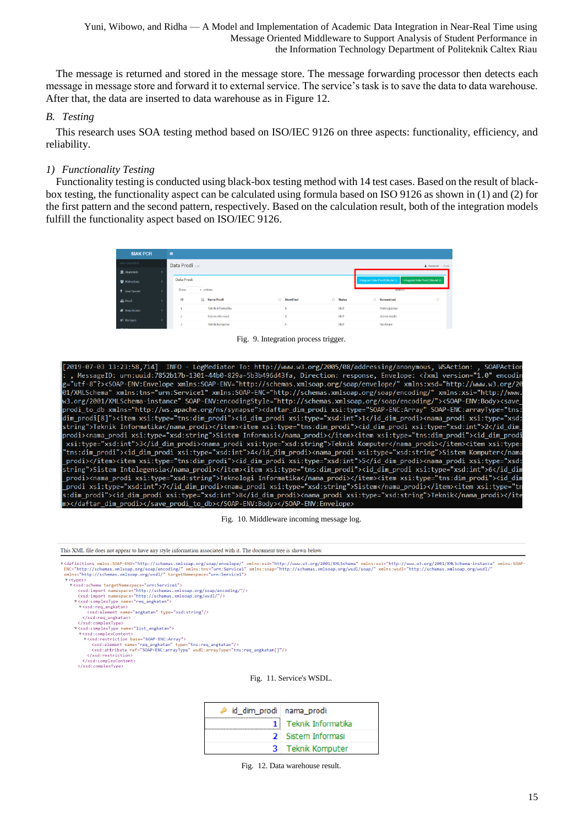Yuni, Wibowo, and Ridha — A Model and Implementation of Academic Data Integration in Near-Real Time using Message Oriented Middleware to Support Analysis of Student Performance in the Information Technology Department of Politeknik Caltex Riau

The message is returned and stored in the message store. The message forwarding processor then detects each message in message store and forward it to external service. The service's task is to save the data to data warehouse. After that, the data are inserted to data warehouse as in Figure 12.

## *B. Testing*

This research uses SOA testing method based on ISO/IEC 9126 on three aspects: functionality, efficiency, and reliability.

# *1) Functionality Testing*

Functionality testing is conducted using black-box testing method with 14 test cases. Based on the result of blackbox testing, the functionality aspect can be calculated using formula based on ISO 9126 as shown in (1) and (2) for the first pattern and the second pattern, respectively. Based on the calculation result, both of the integration models fulfill the functionality aspect based on ISO/IEC 9126.

| <b>SIAK PCR</b>        | $\equiv$                                                                       |                        |               |           |                   |                    |
|------------------------|--------------------------------------------------------------------------------|------------------------|---------------|-----------|-------------------|--------------------|
| MAIN NAVIGATION        | Data Prodi                                                                     |                        |               |           |                   | A Akademik > Prodi |
| <b>R</b> Akademik      |                                                                                |                        |               |           |                   |                    |
| Mahasiswa              | Data Prodi<br>Integrasi Data Prodi (Model 2)<br>Integrasi Data Prodi (Model 1) |                        |               |           |                   |                    |
| <b>P</b> Asal Daerah   | Show                                                                           | v entries              |               |           | search:           |                    |
| & Prodi                | ID                                                                             | IL Nama Prodi          | IT Akreditasi | IT Status | 11<br>Konsentrasi | 11                 |
| <b>A</b> Mata Kuliah   |                                                                                | Teknik Informatika     | в             | Aktif     | Pemrograman       |                    |
| ₹ Kompen               |                                                                                | Sistem Informasi       | B             | Aktif     | Sistem Analis     |                    |
| <b>Service Service</b> |                                                                                | <b>Teknik Komputer</b> | Α             | Aktif     | Hardware          |                    |

Fig. 9. Integration process trigger.

[2019-07-03 13:23:58,714] INFO - LogMediator To: http://www.w3.org/2005/08/addressing/anonymous, WSAction: www.ws.org/200700700700700070070070070003.html ws.com/20070070070070070070070070070070070003.html version="1.0<br>MessageID: urn:uuid:7852b17b-1301-44b0-829a-5b3b496d43fa, Direction: response, Envelope: <?xml version="1.0" en string">Teknik Informatika</nama\_prodi></item><item xsi:type="tns:dim\_prodi"><id\_dim\_prodi\_xsi:type="xsd:int">2</id\_dim orodix/nama\_prodi xsi:type="xsd:string">Sistem Informasi</nama\_prodix</nama\_nodixitem xsi:type="tns:dim\_prodi"><id\_dim\_prodi<br>xsi:type="xsd:int">3</id\_dim\_prodix<nama\_prodi xsi:type="xsd:string">Teknik Komputer</nama\_prodix xsi.cype="xsd.inc">>>/id\_dim\_prodi>\nama\_prodi xsi.cype="xsd.scring">texnik komputer\/nama\_prodi>\/item>\item<br>"tns:dim\_prodi"><id\_dim\_prodi xsi:type="xsd:int">4</id\_dim\_prodi><nama\_prodi xsi:type="xsd:string">Sistem Komput h *x*<sup>"</sup> \_prodix\ricmx\itemxsi.type= tns.uim\_prodix\id\_dim\_prodixsi.type= xsd.int xxx/id\_dim\_prodix\nama\_prodixsi.type= xsd.<br>string">Sistem Intelegensia</nama\_prodix</itemx<itemxsi:type="tns:dim\_prodi"><id\_dim\_prodixsi:type="xsd:i prodi xsi:type="xsd:int">7</id\_dim\_prodi><nama\_prodi xsi:type="xsd:string">Sistem</nama\_prodi></item><item xsi:type="tr </id\_dim\_prodi><nama\_prodi xsi:type="xsd:string">Sistem</nama\_prodi></item><item xsi:type="tr ::dim\_prodi"><id\_dim\_prodi xsi:type="xsd:int">8</id\_dim\_prodi><nama\_prodi xsi:type="xsd:string">Teknik</nama\_prodi></ite i></daftar\_dim\_prodi></save\_prodi\_to\_db></SOAP-ENV:Body></SOAP-ENV:Envelope>

Fig. 10. Middleware incoming message log.

This XML file does not appear to have any style information associated with it. The document tree is shown below,

#cdefinitions xmlns:SOAP-ENV="http://schemas.xmlsoap.org/soap/envelope/" xmlns:xsd="http://www.w3.org/2001/XMLSchema" xmlns:xsi="http://www.w3.org/2001/XMLSchema-instance" xmlns:SOAP-<br>ENC="http://schemas.xmlsoap.org/soap/e wc="http://schemas.xmlsoap.org/soap/encoding/" xmlns:tns="urn:Service1'<br>NC="http://schemas.xmlsoap.org/soap/encoding/" xmlns:tns="urn:Service1'<br>mlns="http://schemas.xmlsoap.org/wsdl/" targetNamespace="urn:Service1"

- vcypes><br>▼<xsd:schema targetNamespace="urn:Service1";
	-
	-
	-
	-
	-
	-
	-
	-
- ypes)<br>
v(xsd:schema targetNamespace="urn:Service1")<br>
(xsd:import namespace="http://schemas.xmlsoap.org/soap/encoding/"/><br>
(xsd:import namespace="http://schemas.xmlsoap.org/wsdl/"/><br>
V(xsd:req\_angkatan")<br>
(xsd:req\_angkatan"
	-
- </xsd:complexCom></xsd:complexCom>

Fig. 11. Service's WSDL.

| id dim prodi nama prodi |                      |
|-------------------------|----------------------|
|                         | 1 Teknik Informatika |
|                         | 2 Sistem Informasi   |
|                         | 3 Teknik Komputer    |

Fig. 12. Data warehouse result.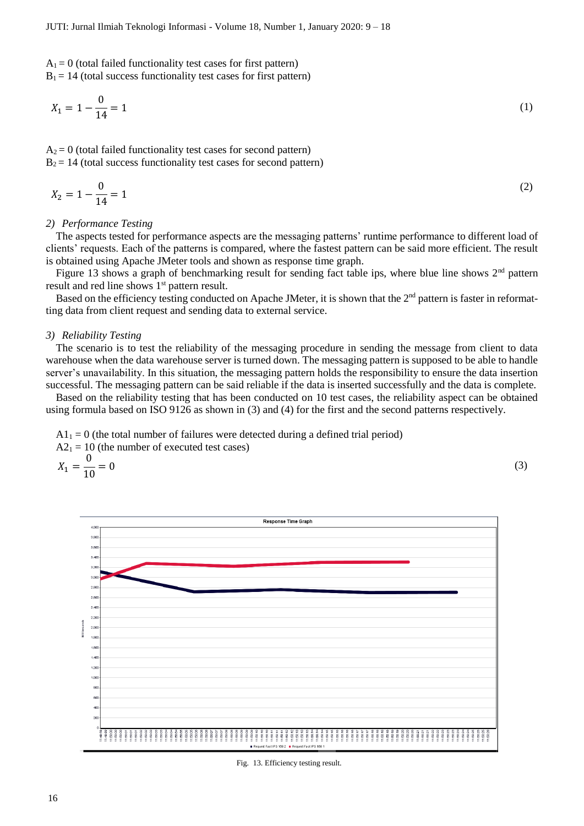$A_1 = 0$  (total failed functionality test cases for first pattern)  $B_1 = 14$  (total success functionality test cases for first pattern)

$$
X_1 = 1 - \frac{0}{14} = 1\tag{1}
$$

 $A_2 = 0$  (total failed functionality test cases for second pattern)  $B_2 = 14$  (total success functionality test cases for second pattern)

$$
X_2 = 1 - \frac{0}{14} = 1\tag{2}
$$

#### *2) Performance Testing*

The aspects tested for performance aspects are the messaging patterns' runtime performance to different load of clients' requests. Each of the patterns is compared, where the fastest pattern can be said more efficient. The result is obtained using Apache JMeter tools and shown as response time graph.

Figure 13 shows a graph of benchmarking result for sending fact table ips, where blue line shows 2<sup>nd</sup> pattern result and red line shows  $1<sup>st</sup>$  pattern result.

Based on the efficiency testing conducted on Apache JMeter, it is shown that the  $2<sup>nd</sup>$  pattern is faster in reformatting data from client request and sending data to external service.

#### *3) Reliability Testing*

The scenario is to test the reliability of the messaging procedure in sending the message from client to data warehouse when the data warehouse server is turned down. The messaging pattern is supposed to be able to handle server's unavailability. In this situation, the messaging pattern holds the responsibility to ensure the data insertion successful. The messaging pattern can be said reliable if the data is inserted successfully and the data is complete.

Based on the reliability testing that has been conducted on 10 test cases, the reliability aspect can be obtained using formula based on ISO 9126 as shown in (3) and (4) for the first and the second patterns respectively.

 $A1<sub>1</sub> = 0$  (the total number of failures were detected during a defined trial period)  $A2_1 = 10$  (the number of executed test cases)

$$
X_1 = \frac{0}{10} = 0\tag{3}
$$



Fig. 13. Efficiency testing result.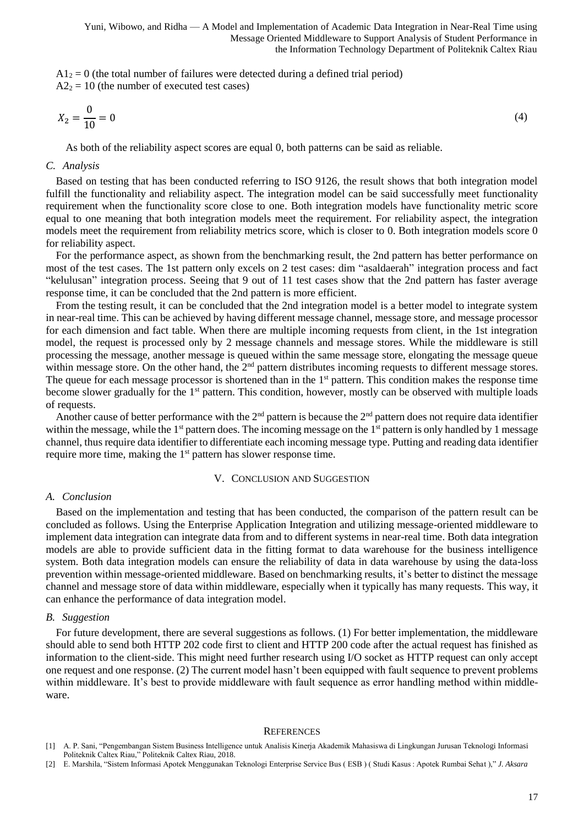$A1<sub>2</sub> = 0$  (the total number of failures were detected during a defined trial period)  $A2<sub>2</sub> = 10$  (the number of executed test cases)

$$
X_2 = \frac{0}{10} = 0\tag{4}
$$

As both of the reliability aspect scores are equal 0, both patterns can be said as reliable.

#### *C. Analysis*

Based on testing that has been conducted referring to ISO 9126, the result shows that both integration model fulfill the functionality and reliability aspect. The integration model can be said successfully meet functionality requirement when the functionality score close to one. Both integration models have functionality metric score equal to one meaning that both integration models meet the requirement. For reliability aspect, the integration models meet the requirement from reliability metrics score, which is closer to 0. Both integration models score 0 for reliability aspect.

For the performance aspect, as shown from the benchmarking result, the 2nd pattern has better performance on most of the test cases. The 1st pattern only excels on 2 test cases: dim "asaldaerah" integration process and fact "kelulusan" integration process. Seeing that 9 out of 11 test cases show that the 2nd pattern has faster average response time, it can be concluded that the 2nd pattern is more efficient.

From the testing result, it can be concluded that the 2nd integration model is a better model to integrate system in near-real time. This can be achieved by having different message channel, message store, and message processor for each dimension and fact table. When there are multiple incoming requests from client, in the 1st integration model, the request is processed only by 2 message channels and message stores. While the middleware is still processing the message, another message is queued within the same message store, elongating the message queue within message store. On the other hand, the 2<sup>nd</sup> pattern distributes incoming requests to different message stores. The queue for each message processor is shortened than in the 1<sup>st</sup> pattern. This condition makes the response time become slower gradually for the 1<sup>st</sup> pattern. This condition, however, mostly can be observed with multiple loads of requests.

Another cause of better performance with the  $2<sup>nd</sup>$  pattern is because the  $2<sup>nd</sup>$  pattern does not require data identifier within the message, while the 1<sup>st</sup> pattern does. The incoming message on the 1<sup>st</sup> pattern is only handled by 1 message channel, thus require data identifier to differentiate each incoming message type. Putting and reading data identifier require more time, making the 1<sup>st</sup> pattern has slower response time.

#### V. CONCLUSION AND SUGGESTION

#### *A. Conclusion*

Based on the implementation and testing that has been conducted, the comparison of the pattern result can be concluded as follows. Using the Enterprise Application Integration and utilizing message-oriented middleware to implement data integration can integrate data from and to different systems in near-real time. Both data integration models are able to provide sufficient data in the fitting format to data warehouse for the business intelligence system. Both data integration models can ensure the reliability of data in data warehouse by using the data-loss prevention within message-oriented middleware. Based on benchmarking results, it's better to distinct the message channel and message store of data within middleware, especially when it typically has many requests. This way, it can enhance the performance of data integration model.

#### *B. Suggestion*

For future development, there are several suggestions as follows. (1) For better implementation, the middleware should able to send both HTTP 202 code first to client and HTTP 200 code after the actual request has finished as information to the client-side. This might need further research using I/O socket as HTTP request can only accept one request and one response. (2) The current model hasn't been equipped with fault sequence to prevent problems within middleware. It's best to provide middleware with fault sequence as error handling method within middleware.

#### **REFERENCES**

- [1] A. P. Sani, "Pengembangan Sistem Business Intelligence untuk Analisis Kinerja Akademik Mahasiswa di Lingkungan Jurusan Teknologi Informasi Politeknik Caltex Riau," Politeknik Caltex Riau, 2018.
- [2] E. Marshila, "Sistem Informasi Apotek Menggunakan Teknologi Enterprise Service Bus ( ESB ) ( Studi Kasus : Apotek Rumbai Sehat )," *J. Aksara*